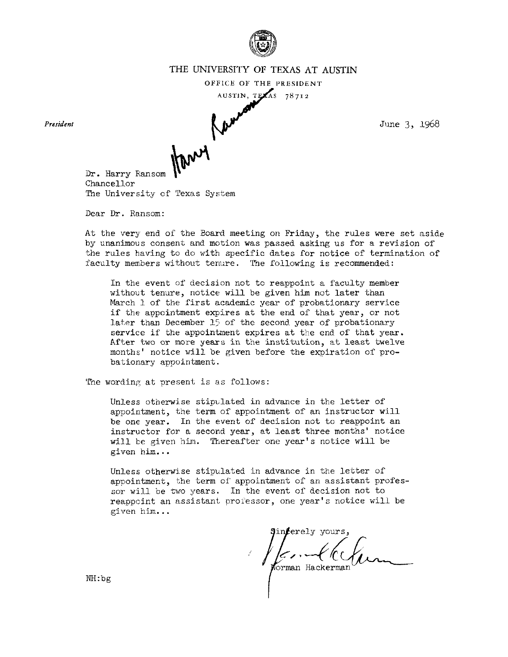

# THE UNIVERSITY OF TEXAS AT AUSTIN VERSITY OF TEXAS AT AUSTIN<br>
FFICE OF THE PRESIDENT<br>
AUSTIN, TEXAS 78712<br>
June 3, 1968

**OFFICE OF THE PRBSIDENT** 

*President* 

Dr. Harry Ransom chancellor The University of Texas System

Dear Dr. Ransom:

At the very end of the bard meeting on Friday, the rules were set aside by unanimous consent and motion was passed asking us for a revision of the rules having to do with specific dates for notice of termination of faculty members without tenure. The following is recommended:

In the event of decision not to reappoint a faculty member without tenure, notice will be given him not later than March 1 of the first academic year of probationary service if the appointment expires at the end of that year, or not later than December 15 of the second year of probationary service if the appointment expires at the end of that year. After two or more years in the institution, at least twelve months' notice will be given before the expiration of probationary appointment.

The wording at present is as follows:

Unless otherwise stipulated in advance in the letter of appointment, the term of appointment of an instructor will be one year. In the event of decision not to reappoint an instructor for a second year, at least three months' notice will te given him. Thereafter one year's notice will be given him...

Unless otherwise stipulated in advance in the letter of appointment, the term of appointment of an assistant professor will be two years. In the event of decision not to reappoint an assistant professor, one year's notice will be given him.. .

Forman Hackerman

NH:bg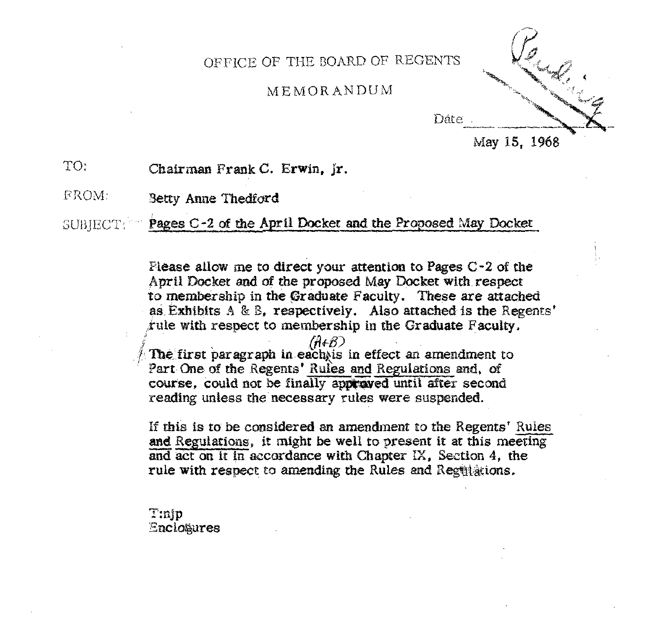OFFICE OF THE BOARD OF REGENTS

# MEMORANDUM



**May 15, 1968** 

TO: Chairman **Frank C.** Erwin, jr.

FROM: **'3etry** Anne *'PhedSord* 

**Pages C-2 of the April Docket and the Proposed May Docket SUBJECT:** 

> Please allow me to direct your attention to Pages C-2 of the April Docket and of the proposed May Docket with respect to membership in the Graduate Faculty. These are attached as Exhibits A & B, respectively. Also attached is the Regents' **rule with** respect to membership in the Graduate Faculty.

 $\int d^2F \cdot d^2F$  *first paragraph in each is in effect an amendment to* Part One of the Regents' Rules and Regulations and, of **course,** could **not** be **finally app@&ed until after** second reading unless the necessary rules were suspended. The first paragraph in each is in effect an amendment to<br>
Part One of the Regents' Rules and Regulations and, of<br>
course, could not be finally approved until after second<br>
reading unless the necessary rules were suspended

If this is to be considered an amendment to the Regents' Rules and Regulations, it might be well to present it at this meeting and act on it in accordance with Chapter IX, Section 4, the rule with respect to amending the Rules and Regulations.

Tinip Enclotures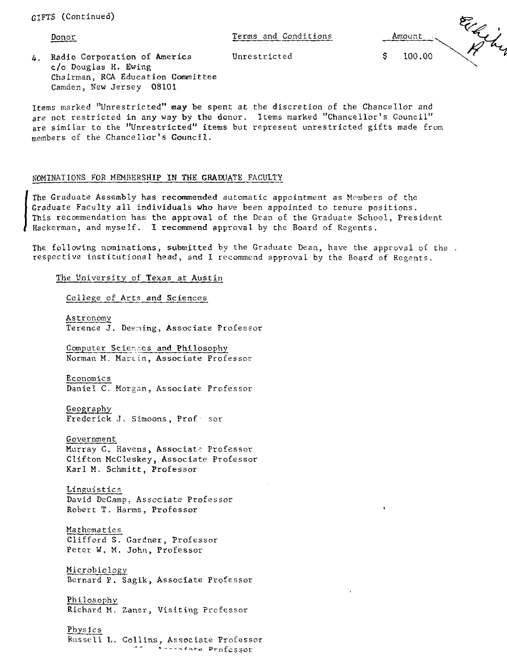Camden, New Jersey 08101

| GIFTS (Continued)                                                                               |                      |        |  |
|-------------------------------------------------------------------------------------------------|----------------------|--------|--|
| <u>Donor</u>                                                                                    | Terms and Conditions | Amount |  |
| Radio Corporation of America<br>4.<br>c/o Douglas H. Ewing<br>Chairman, RCA Education Committee | Unrestricted         | 100.00 |  |

Items marked "Unrestricted" **may** be spent at the discretion of the Chancellor and are not restricted in any way by the donor. Items marked "Chancellor's Council" are similar to the "Unrestricted" items but represent unrestricted gifts made from members of the Chancellor's Council.

#### NOMINATIONS FOR MEMBERSHIP IN THE GRADUATE FACULTY

The Graduate Assembly has recommended automatic appointment as Members of the Graduate Faculty all individuals who have been appointed to tenure positions.<br>This recommendation has the approval of the Dean of the Graduate S Graduate Faculty all individuals who have been appointed to tenure positions. This recommendation has the approval of the Dean of the Graduate School, President Hackerman, and myself. I recommend approval by the Board of Regents.

The following nominations, submitted by the Graduate Dean, have the approval of the. respective institutional head, and I recommend approval by the Board of Regents.

The University of Texas at Austin

College of Arts and Sciences

Astronomy Terence J. Deeming, Associate Professor

Computer Sciexes and Philosophy Norman M. Martin, Associate Professor

Economics Daniel C, Morgan, Associate Professor

Geography Frederick J. Simoons, Prof sor

Government Murray C. Havens, Associate Professor Clifton McCleskey, Associate Professor

Karl M. Schmitt, Professor

Linguistics David Decamp: Associate Professor Robert T. Harms, Professor

Mathematics Clifford S. Gardner. Professor Peter W. M. John, Professor

Microbiology Bernard P. Sagik, Associate Professor

Philosophy Richard M. Zaner, Visiting

Physics Kusstll L. Collins, Associate Professor - - **'----'..+a** ProfcSSOr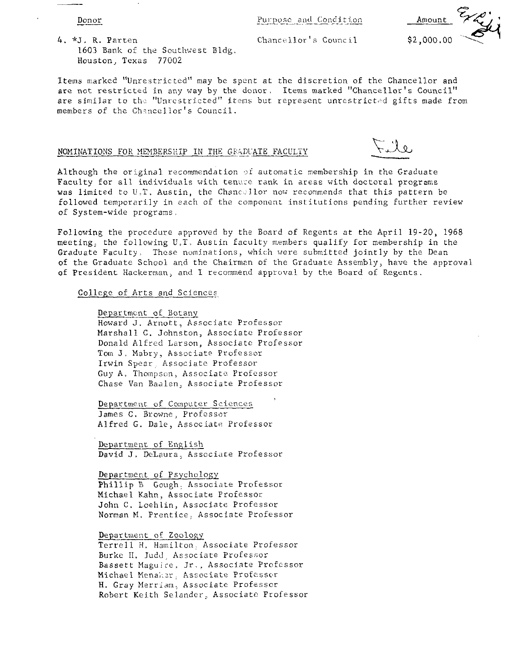Purpose and Condition

Amount

4. \*J, R. Parten 1603 Bank of the Southwest Bldg. Houston, Texas 77002

Donor

 $Change11 or's Council$   $$2,000.00$ 

Items marked "Unrestricted" may be spent at the discretion of the Chancellor and are not restricted in any way by the donor, Items marked "Chancellor's Council" are similar to the "Unrestricted" items but represent unrestricted gifts made from members of the Chancellor's Council.

#### NOMINATIONS FOR MEMBERSHIP IN THE GRADUATE FACULTY

 $\sqrt{2}$ 

Although the original recommendation of automatic membership in the Graduate Faculty for all individuals with tenure rank in areas with doctoral programs was limited to U.T. Austin, the Chancellor now recommends that this pattern be followed temporarily in each of the component institutions pending further review of System-wide programs,

Following the procedure approved by the Board of Regents at the April 19-20, 1968 meeting, the following U.T. Austin faculty members qualify for membership in the Graduate Faculty, These nominations, which were submitted jointly by the Dean of the Graduate School and the Chairman of the Graduate Assembly, have the approval of President Hackerman, and I recommend approval by the Board of Regents.

# College of Arts and Sciences

Department of Botany Howard **J.** ArnotL, Associate Professor Marshall C. Johnston, Associate Professor Donald Alfred Larson, Associatc Professor Tom J, Mabry, Associate Professor Irwin Spear, Associate Professor Guy A. Thompscn, Associatc. Professor Chase Van Baalen, Associate Professor

Department of Computer Sciences, James C. Browne, Professor Alfred G. Dale, Associate Professor

Department of English David J, DeLaura, Associate Professor

Department of Psychology Phillip B Gough, Associate Professor Michael K.ahn, Associate Professor John C. Loehlin, Associate Professor Norman M. Prentice: Associate Professor

#### Department of Zoology

Terrell H. Hamilton, Associate Professor Burke H. Judd, Associate Professor Bassett Maguire, Jr., Associate Professor Michael Menaker, Associate Professor H. Gray Merriam, Associate Professor Robert Keith Selander, Associate Professor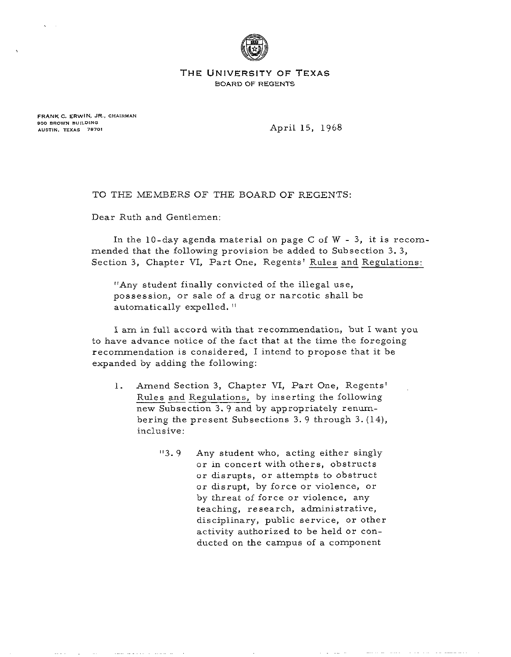

**THE UNIVERSITY OF TEXAS BOARD OF REGENTS** 

**FRANK C. ERWIN, JR., CHAIRMAN BOO BROWN BYlLDlNCI AUSTIN. TEXAS 78701** 

April 15, 1968

TO THE MEMBERS OF THE BOARD OF REGENTS:

Dear Ruth and Gentlemen:

In the  $10$ -day agenda material on page C of W - 3, it is recommended that the following provision be added to Subsection 3. **3,**  Section 3, Chapter VI, Part One, Regents' Rules and Regulations:

"Any student finally convicted of the illegal use, possession, or sale of a drug or narcotic shall be automatically expelled. "

I am in full accord with that recommendation, but I want you to have advance notice of the fact that at the time the foregoing recommendation is considered, I intend to propose that it be expanded by adding the following:

- 1. Amend Section **3,** Chapter VI, Part One, Regents' endation is considered, 1 intend to propose that it<br>by adding the following:<br>Amend Section 3, Chapter VI, Part One, Regents<br>Rules and Regulations, by inserting the following<br>new Subsection 3.9 and by appropriately renumnew Subsection 3.9 and by appropriately renumbering the present Subsections **3.** 9 through 3. (14), inclusive:
	- "3. 9 Any student who, acting either singly or in concert with others, obstructs or disrupts, or attempts to obstruct or disrupt, by force or violence, or by threat of force or violence, any teaching, research, administrative, disciplinary, public service, or other activity authorized to be held or conducted on the campus of a component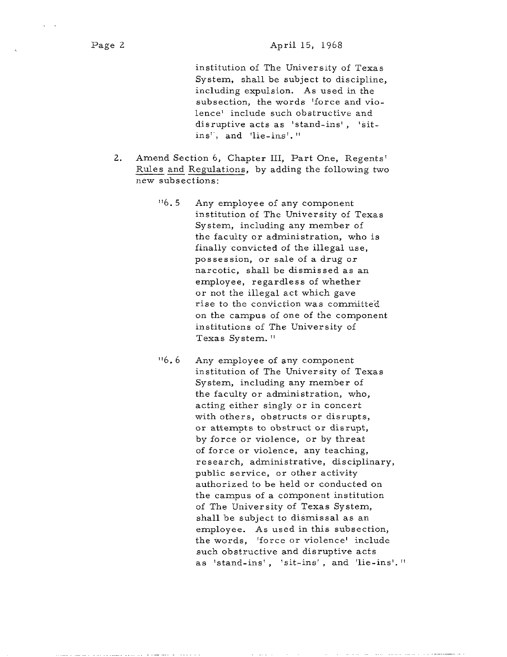institution of The University of Texas System, shall be subject to discipline, including expulsion. As used in the subsection, the words 'force and violence' include such obstructive and disruptive acts as 'stand-ins', 'sitins', and 'lie-ins'. "

- 2. Amend Section 6, Chapter 111, Part One, Regents' Rules and Regulations, by adding the following two new subsections:
	- "6.5 Any employee of any component institution of The University of Texas System, including any member of the faculty or administration, who is finally convicted of the illegal use, possession, or sale of a drug or narcotic, shall be dismissed as an employee, regardless of whether or not the illegal act which gave rise to the conviction was committed on the campus of one of the component institutions of The University of Texas System. "
	- "6.6 Any employee of any component institution of The University of Texas System, including any member of the faculty or administration, who, acting either singly or in concert with others, obstructs or disrupts, or attempts to obstruct or disrupt, by force or violence, or by threat of force or violence, any teaching, research, administrative, disciplinary, public service, or other activity authorized to be held or conducted on the campus of a component institution of The University of Texas System, shall be subject to dismissal as an employee. As used in this subsection, the words, 'force or violence' include such obstructive and disruptive acts as 'stand-ins', 'sit-ins', and 'lie-ins'."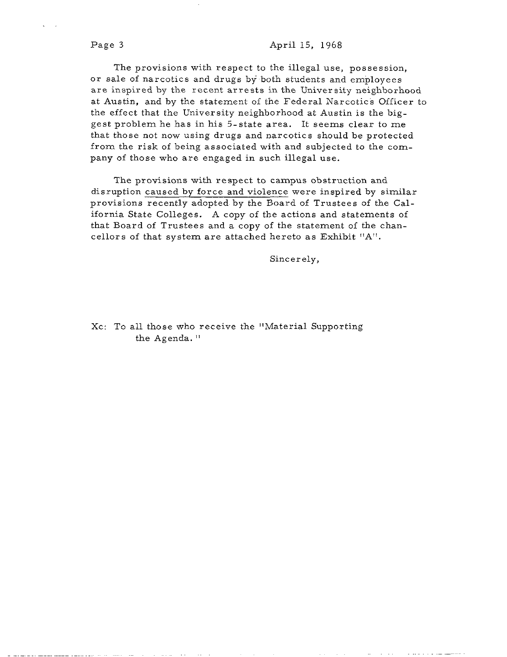#### Page **3** April 15, 1968

The provisions with respect to the illegal use, possession, or sale of narcotics and drugs by both students and employees are inspired by the recent arrests in the University neighborhood at Austin, and by the statement of the Federal Narcotics Officer to the effect that the University neighborhood at Austin is the biggest problem he has in his 5-state area. It seems clear to me that those not now using drugs and narcotics should be protected from the risk of being associated with and subjected to the company of those who are engaged in such illegal use.

The provisions with respect to campus obstruction and disruption caused by force and violence were inspired by similar provisions recently adopted by the Board of Trustees of the California State Colleges. A copy of the actions and statements of that Board of Trustees and a copy of the statement of the chancellors of that system are attached hereto as Exhibit "A".

Sincerely,

Xc: To all those who receive the "Material Supporting the Agenda. "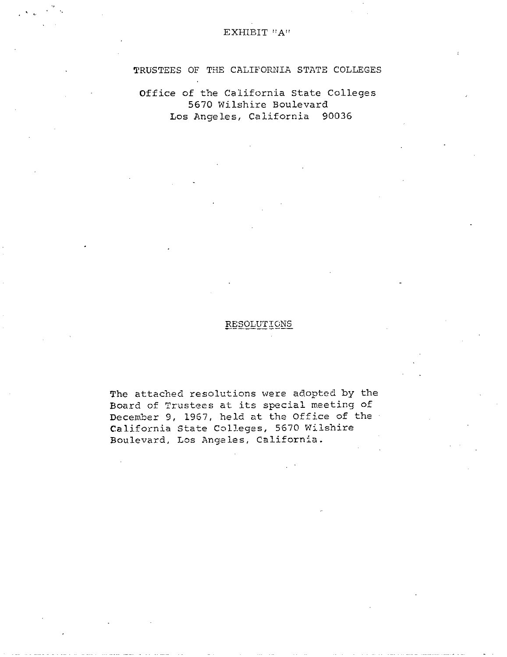## EXHIBIT **"A"**

# TRUSTEES OF THE CALIFORNIA STATE COLLEGES

Office of the California State Cclleges 5670 Wilshire Boulevard Los Angeles, California 90036

# RESOLUTIONS

The attached resolutions were adopted by the Board of Trustees at its special meeting of December 9, 1967, held at the Office of the California State ColLeges, 5670 Wilshire Boulevard, Lcs Angeles, California.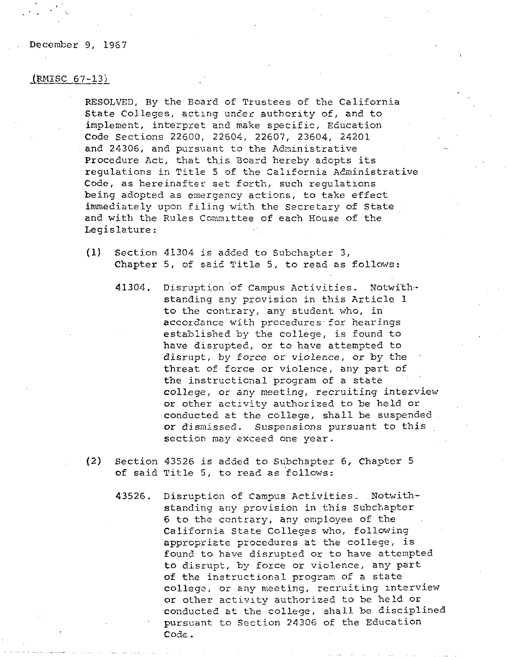#### December 9, 1967

# $(MISC 67-13)$

RESOLVED, By the Board of Trustees of the California State Colleges, acting under authority of, and to implement, interpret and make specific, Education Code Sections 22600, 22604, 22607, 23604, 24201 and 24306, and pursuant to the Administrative Procedure Act, that this Board hereby adopts its regulations in Title 5 of the California Administrative Code, as hereinafter set forth, such regulations being adopted as emergency actions, to take effect immediately upon filing with the Secretary of State. and with the Rules Committee of each House of the Legislature :

- $(1)$  Section 41304 is added to Subchapter 3, Chapter 5, of said Title 5, to read as follows:
	- 41304. Disruption 'of Campus Activities. Notwithstanding any provision in this Article 1 to the contrary, any student who, in accordance with procedures for hearings established by the college, **is** found to have disrupted, or to have attempted to disrupt, by force or violence, or by the threat of force or violence, any part of the instructional program of a state college, or any meeting, recruiting interview or other activity authorized to be held or conducted at the college, shall be suspended. or dismissed. Suspensions pursuant to this section may exceed one year.
- (2) Section 43526 is added to Subchapter 6, Chapter 5 of said Title 5, to read as follows:
	- 43526. Disruption of Campus Activities. Notwithstanding any provision in this Subchapter 6 to the contrary, any employee of the California State Colleges who, following appropriete procedures at the college, is found to have disrupted or to have attempted to disrupt, by force or violence, any part of the instructional program of a state' college, or any meeting, recruiting interview or other activity authorized to be held or conducted at the college, shall be disciplined pursuant to Section 24306 of the Education Code.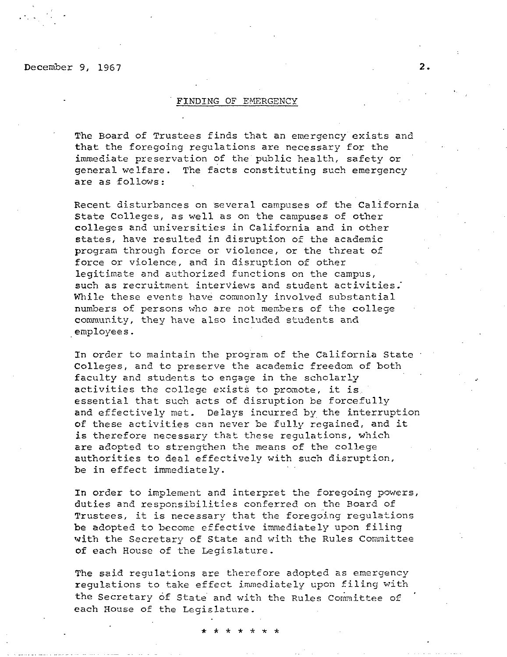December 9, 1967

#### **FINDING** OF EMERGENCY

The Board of Trustees finds that an emergency exists and that the foregoing regulations are necessary for the immediate preservation of the public health, safety or general welfare. The facts constituting such emergency are as follows:

Recent disturbances on several campuses of the California State Colleges, as well as on the campuses of other colleges and universities in California and in other states, have resulted in disruption of the academic program through force or violence, or the threat of force or violence, and in disruption of other legitimate and authorized functions on the campus, such as recruitment interviews and student activities. While these events have commonly involved substantial numbers of persons who are not menbers of the college commmity, they have also included students and employees.

In order to maintain the program of the California State Colleges, and tc preserve the academic freedom of both faculty and students to engage in the scholarly activities the college exists to promote, it is. essential that such acts of disruption be forcefully and effectively met. Delays incurred by the interruption of these activities can never be fully regained, and it is therefore necessary that these regulations, which are adopted to strengthen the means of the college authorities to deal effectively with such disruption, be in effect immediately.

In order to implement and interpret the foregoing powers, duties and responsibilities conferred on the Roard of Trustees, it is necessary that the foregoing regulations be adopted to become effective immediately upon filing with the Secretary of State and with the Rules Committee of each House of the Legislature.

The said regulations are therefore adopted as emergency regulations to take effect immediately upon filing with the Secretary of State and with the Rules Committee of each House of the Legislature.

 $2.$ 

\* \* \* \*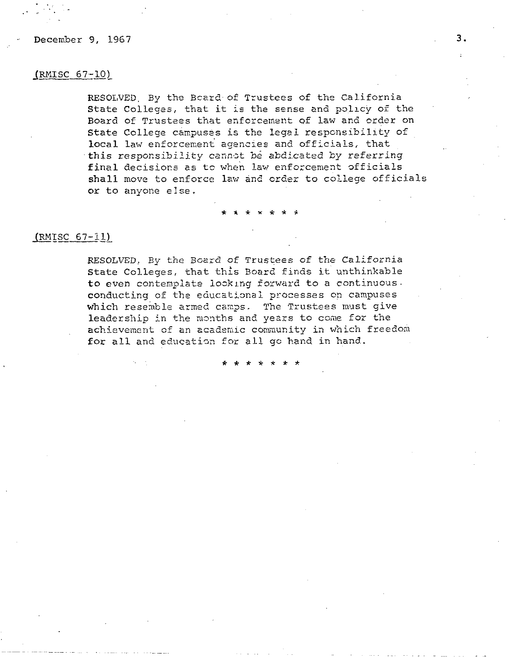December 9, 1967

# $(RMISC 67-10)$

RESOLVED, By the Board of Trustees of the California State Colleges, that it **is** the sense and pallcy of the Board of Trustees that enforcement of law and order on State College campuses is the legal responsibility of local law enforcement agencies and officials, that this responsibility cannot be abdicated by referring final decisions as to when law enforcement officials shall move to enforce law and crder to college officials or to anyone else.

# $(MISC 67-11)$

RESOLVED, By the Board of Trustees of the California State Colleges, that this Board finds it unthinkable to even contemplate looking forward to a continuous. conducting of the educational processes on campuses which resemble armed camps. The Trustees must give leadership in the months and years to come for the achievement of an academic community in which freedom for all and education for all go hand in hand.